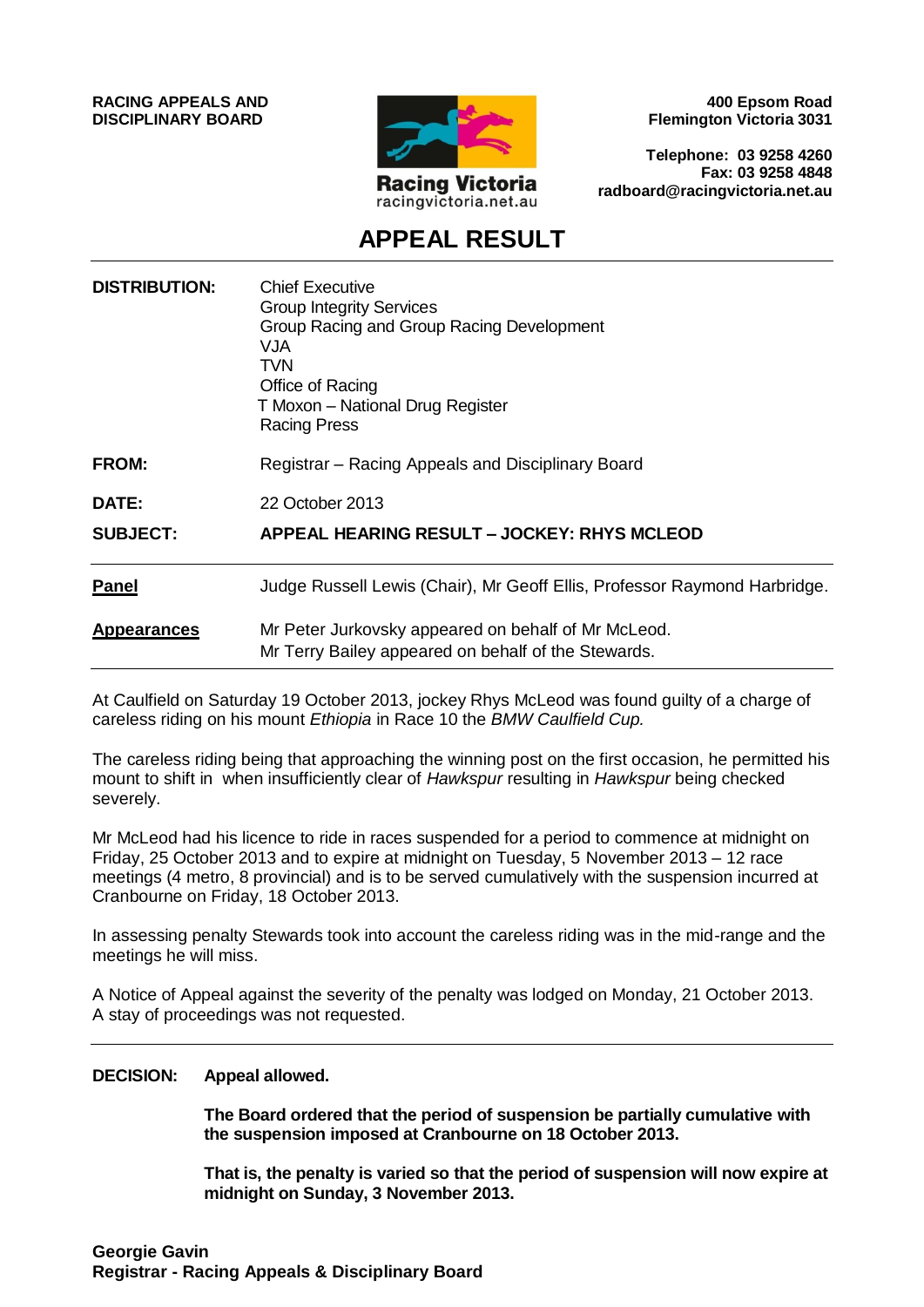**RACING APPEALS AND DISCIPLINARY BOARD**



**400 Epsom Road Flemington Victoria 3031**

**Telephone: 03 9258 4260 Fax: 03 9258 4848 radboard@racingvictoria.net.au**

## **APPEAL RESULT**

| <b>DISTRIBUTION:</b> | <b>Chief Executive</b><br><b>Group Integrity Services</b><br>Group Racing and Group Racing Development<br>VJA<br>TVN<br>Office of Racing<br>T Moxon - National Drug Register<br><b>Racing Press</b> |
|----------------------|-----------------------------------------------------------------------------------------------------------------------------------------------------------------------------------------------------|
| <b>FROM:</b>         | Registrar – Racing Appeals and Disciplinary Board                                                                                                                                                   |
| <b>DATE:</b>         | 22 October 2013                                                                                                                                                                                     |
| <b>SUBJECT:</b>      | APPEAL HEARING RESULT - JOCKEY: RHYS MCLEOD                                                                                                                                                         |
| <b>Panel</b>         | Judge Russell Lewis (Chair), Mr Geoff Ellis, Professor Raymond Harbridge.                                                                                                                           |
| <b>Appearances</b>   | Mr Peter Jurkovsky appeared on behalf of Mr McLeod.<br>Mr Terry Bailey appeared on behalf of the Stewards.                                                                                          |

At Caulfield on Saturday 19 October 2013, jockey Rhys McLeod was found guilty of a charge of careless riding on his mount *Ethiopia* in Race 10 the *BMW Caulfield Cup.*

The careless riding being that approaching the winning post on the first occasion, he permitted his mount to shift in when insufficiently clear of *Hawkspur* resulting in *Hawkspur* being checked severely.

Mr McLeod had his licence to ride in races suspended for a period to commence at midnight on Friday, 25 October 2013 and to expire at midnight on Tuesday, 5 November 2013 – 12 race meetings (4 metro, 8 provincial) and is to be served cumulatively with the suspension incurred at Cranbourne on Friday, 18 October 2013.

In assessing penalty Stewards took into account the careless riding was in the mid-range and the meetings he will miss.

A Notice of Appeal against the severity of the penalty was lodged on Monday, 21 October 2013. A stay of proceedings was not requested.

#### **DECISION: Appeal allowed.**

**The Board ordered that the period of suspension be partially cumulative with the suspension imposed at Cranbourne on 18 October 2013.** 

**That is, the penalty is varied so that the period of suspension will now expire at midnight on Sunday, 3 November 2013.**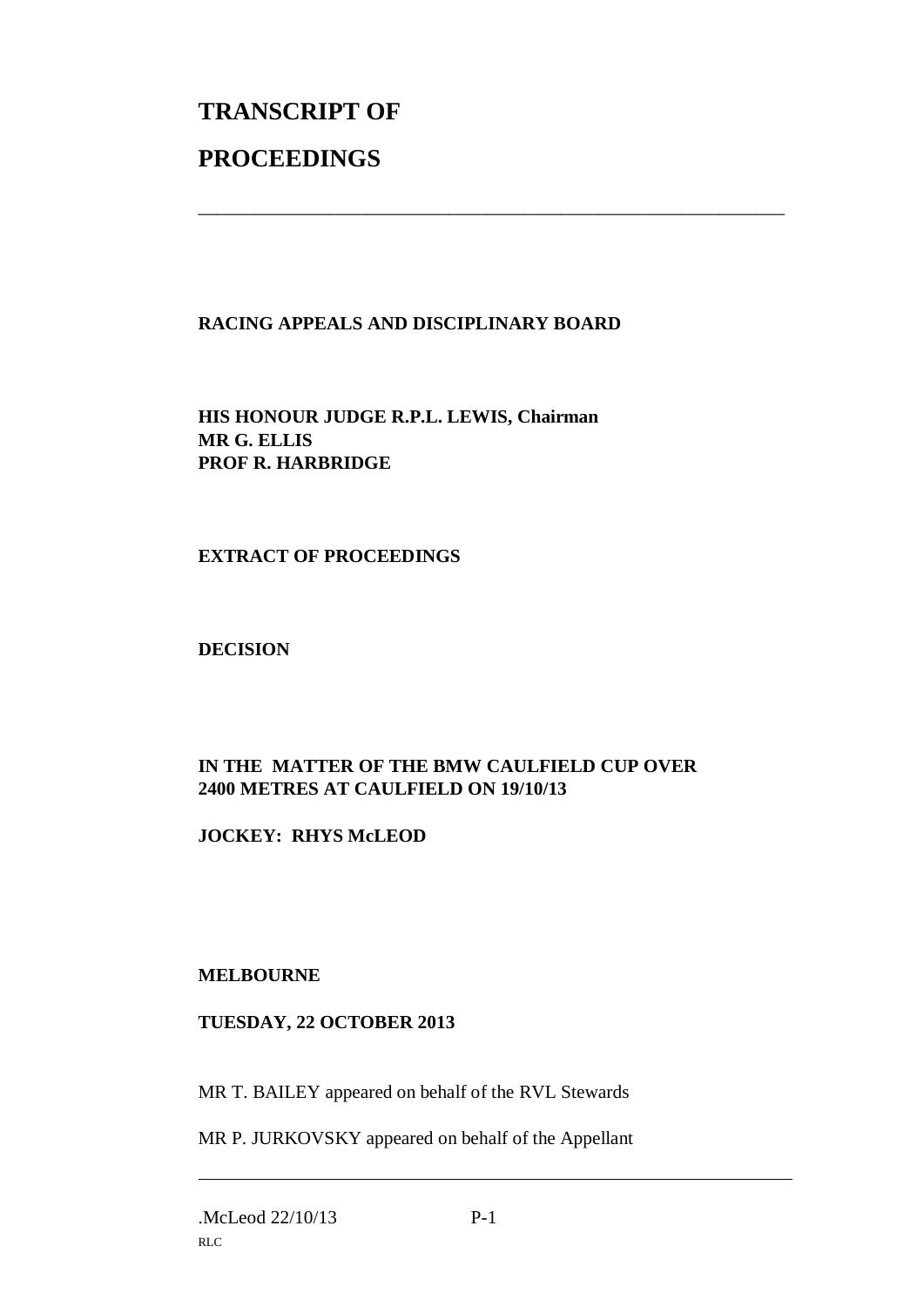# **TRANSCRIPT OF PROCEEDINGS**

### **RACING APPEALS AND DISCIPLINARY BOARD**

\_\_\_\_\_\_\_\_\_\_\_\_\_\_\_\_\_\_\_\_\_\_\_\_\_\_\_\_\_\_\_\_\_\_\_\_\_\_\_\_\_\_\_\_\_\_\_\_\_\_\_\_\_\_\_\_\_\_\_\_\_\_\_

**HIS HONOUR JUDGE R.P.L. LEWIS, Chairman MR G. ELLIS PROF R. HARBRIDGE**

#### **EXTRACT OF PROCEEDINGS**

**DECISION**

### **IN THE MATTER OF THE BMW CAULFIELD CUP OVER 2400 METRES AT CAULFIELD ON 19/10/13**

**JOCKEY: RHYS McLEOD**

#### **MELBOURNE**

#### **TUESDAY, 22 OCTOBER 2013**

MR T. BAILEY appeared on behalf of the RVL Stewards

MR P. JURKOVSKY appeared on behalf of the Appellant